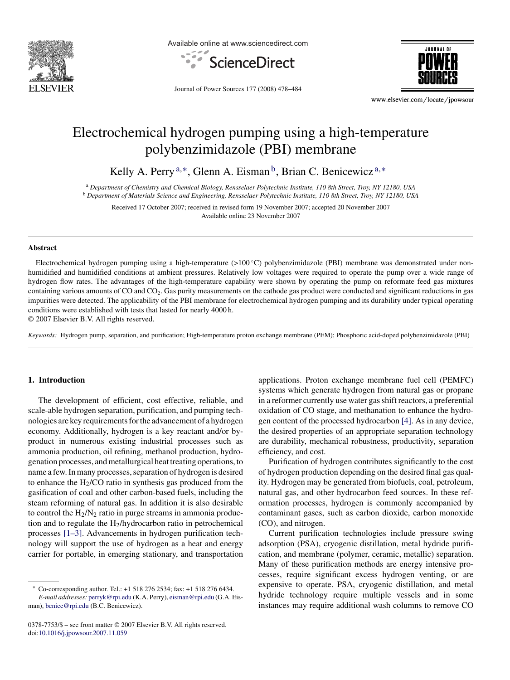

Available online at www.sciencedirect.com





Journal of Power Sources 177 (2008) 478–484

www.elsevier.com/locate/jpowsour

# Electrochemical hydrogen pumping using a high-temperature polybenzimidazole (PBI) membrane

Kelly A. Perry<sup>a,\*</sup>, Glenn A. Eisman<sup>b</sup>, Brian C. Benicewicz<sup>a,\*</sup>

<sup>a</sup> *Department of Chemistry and Chemical Biology, Rensselaer Polytechnic Institute, 110 8th Street, Troy, NY 12180, USA* <sup>b</sup> *Department of Materials Science and Engineering, Rensselaer Polytechnic Institute, 110 8th Street, Troy, NY 12180, USA*

Received 17 October 2007; received in revised form 19 November 2007; accepted 20 November 2007 Available online 23 November 2007

## **Abstract**

Electrochemical hydrogen pumping using a high-temperature  $(>100\degree C)$  polybenzimidazole (PBI) membrane was demonstrated under nonhumidified and humidified conditions at ambient pressures. Relatively low voltages were required to operate the pump over a wide range of hydrogen flow rates. The advantages of the high-temperature capability were shown by operating the pump on reformate feed gas mixtures containing various amounts of CO and CO2. Gas purity measurements on the cathode gas product were conducted and significant reductions in gas impurities were detected. The applicability of the PBI membrane for electrochemical hydrogen pumping and its durability under typical operating conditions were established with tests that lasted for nearly 4000 h.

© 2007 Elsevier B.V. All rights reserved.

*Keywords:* Hydrogen pump, separation, and purification; High-temperature proton exchange membrane (PEM); Phosphoric acid-doped polybenzimidazole (PBI)

# **1. Introduction**

The development of efficient, cost effective, reliable, and scale-able hydrogen separation, purification, and pumping technologies are key requirements for the advancement of a hydrogen economy. Additionally, hydrogen is a key reactant and/or byproduct in numerous existing industrial processes such as ammonia production, oil refining, methanol production, hydrogenation processes, and metallurgical heat treating operations, to name a few. In many processes, separation of hydrogen is desired to enhance the  $H<sub>2</sub>/CO$  ratio in synthesis gas produced from the gasification of coal and other carbon-based fuels, including the steam reforming of natural gas. In addition it is also desirable to control the  $H_2/N_2$  ratio in purge streams in ammonia production and to regulate the  $H_2/h$ ydrocarbon ratio in petrochemical processes [\[1–3\].](#page-5-0) Advancements in hydrogen purification technology will support the use of hydrogen as a heat and energy carrier for portable, in emerging stationary, and transportation

0378-7753/\$ – see front matter © 2007 Elsevier B.V. All rights reserved. doi[:10.1016/j.jpowsour.2007.11.059](dx.doi.org/10.1016/j.jpowsour.2007.11.059)

applications. Proton exchange membrane fuel cell (PEMFC) systems which generate hydrogen from natural gas or propane in a reformer currently use water gas shift reactors, a preferential oxidation of CO stage, and methanation to enhance the hydrogen content of the processed hydrocarbon [\[4\].](#page-5-0) As in any device, the desired properties of an appropriate separation technology are durability, mechanical robustness, productivity, separation efficiency, and cost.

Purification of hydrogen contributes significantly to the cost of hydrogen production depending on the desired final gas quality. Hydrogen may be generated from biofuels, coal, petroleum, natural gas, and other hydrocarbon feed sources. In these reformation processes, hydrogen is commonly accompanied by contaminant gases, such as carbon dioxide, carbon monoxide (CO), and nitrogen.

Current purification technologies include pressure swing adsorption (PSA), cryogenic distillation, metal hydride purification, and membrane (polymer, ceramic, metallic) separation. Many of these purification methods are energy intensive processes, require significant excess hydrogen venting, or are expensive to operate. PSA, cryogenic distillation, and metal hydride technology require multiple vessels and in some instances may require additional wash columns to remove CO

<sup>∗</sup> Co-corresponding author. Tel.: +1 518 276 2534; fax: +1 518 276 6434. *E-mail addresses:* [perryk@rpi.edu](mailto:perryk@rpi.edu) (K.A. Perry), [eisman@rpi.edu](mailto:eisman@rpi.edu) (G.A. Eisman), [benice@rpi.edu](mailto:benice@rpi.edu) (B.C. Benicewicz).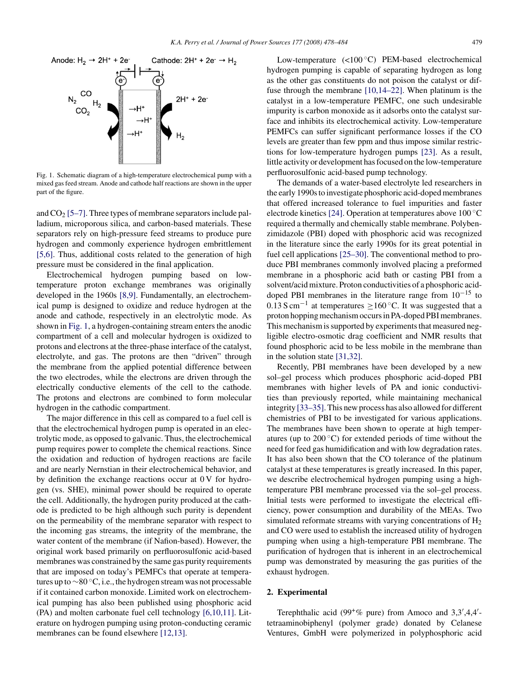<span id="page-1-0"></span>

Fig. 1. Schematic diagram of a high-temperature electrochemical pump with a mixed gas feed stream. Anode and cathode half reactions are shown in the upper part of the figure.

and  $CO<sub>2</sub>$  [\[5–7\]. T](#page-5-0)hree types of membrane separators include palladium, microporous silica, and carbon-based materials. These separators rely on high-pressure feed streams to produce pure hydrogen and commonly experience hydrogen embrittlement [\[5,6\].](#page-5-0) Thus, additional costs related to the generation of high pressure must be considered in the final application.

Electrochemical hydrogen pumping based on lowtemperature proton exchange membranes was originally developed in the 1960s [\[8,9\].](#page-5-0) Fundamentally, an electrochemical pump is designed to oxidize and reduce hydrogen at the anode and cathode, respectively in an electrolytic mode. As shown in Fig. 1, a hydrogen-containing stream enters the anodic compartment of a cell and molecular hydrogen is oxidized to protons and electrons at the three-phase interface of the catalyst, electrolyte, and gas. The protons are then "driven" through the membrane from the applied potential difference between the two electrodes, while the electrons are driven through the electrically conductive elements of the cell to the cathode. The protons and electrons are combined to form molecular hydrogen in the cathodic compartment.

The major difference in this cell as compared to a fuel cell is that the electrochemical hydrogen pump is operated in an electrolytic mode, as opposed to galvanic. Thus, the electrochemical pump requires power to complete the chemical reactions. Since the oxidation and reduction of hydrogen reactions are facile and are nearly Nernstian in their electrochemical behavior, and by definition the exchange reactions occur at 0 V for hydrogen (vs. SHE), minimal power should be required to operate the cell. Additionally, the hydrogen purity produced at the cathode is predicted to be high although such purity is dependent on the permeability of the membrane separator with respect to the incoming gas streams, the integrity of the membrane, the water content of the membrane (if Nafion-based). However, the original work based primarily on perfluorosulfonic acid-based membranes was constrained by the same gas purity requirements that are imposed on today's PEMFCs that operate at temperatures up to ∼80 ◦C, i.e., the hydrogen stream was not processable if it contained carbon monoxide. Limited work on electrochemical pumping has also been published using phosphoric acid (PA) and molten carbonate fuel cell technology [\[6,10,11\].](#page-5-0) Literature on hydrogen pumping using proton-conducting ceramic membranes can be found elsewhere [\[12,13\].](#page-5-0)

Low-temperature (<100 ◦C) PEM-based electrochemical hydrogen pumping is capable of separating hydrogen as long as the other gas constituents do not poison the catalyst or diffuse through the membrane [\[10,14–22\].](#page-5-0) When platinum is the catalyst in a low-temperature PEMFC, one such undesirable impurity is carbon monoxide as it adsorbs onto the catalyst surface and inhibits its electrochemical activity. Low-temperature PEMFCs can suffer significant performance losses if the CO levels are greater than few ppm and thus impose similar restrictions for low-temperature hydrogen pumps [\[23\].](#page-6-0) As a result, little activity or development has focused on the low-temperature perfluorosulfonic acid-based pump technology.

The demands of a water-based electrolyte led researchers in the early 1990s to investigate phosphoric acid-doped membranes that offered increased tolerance to fuel impurities and faster electrode kinetics [\[24\]. O](#page-6-0)peration at temperatures above 100 ◦C required a thermally and chemically stable membrane. Polybenzimidazole (PBI) doped with phosphoric acid was recognized in the literature since the early 1990s for its great potential in fuel cell applications [\[25–30\]. T](#page-6-0)he conventional method to produce PBI membranes commonly involved placing a preformed membrane in a phosphoric acid bath or casting PBI from a solvent/acid mixture. Proton conductivities of a phosphoric aciddoped PBI membranes in the literature range from  $10^{-15}$  to  $0.13$  S cm<sup>-1</sup> at temperatures >160 °C. It was suggested that a proton hopping mechanism occurs in PA-doped PBI membranes. This mechanism is supported by experiments that measured negligible electro-osmotic drag coefficient and NMR results that found phosphoric acid to be less mobile in the membrane than in the solution state [\[31,32\].](#page-6-0)

Recently, PBI membranes have been developed by a new sol–gel process which produces phosphoric acid-doped PBI membranes with higher levels of PA and ionic conductivities than previously reported, while maintaining mechanical integrity [\[33–35\]. T](#page-6-0)his new process has also allowed for different chemistries of PBI to be investigated for various applications. The membranes have been shown to operate at high temperatures (up to  $200^{\circ}$ C) for extended periods of time without the need for feed gas humidification and with low degradation rates. It has also been shown that the CO tolerance of the platinum catalyst at these temperatures is greatly increased. In this paper, we describe electrochemical hydrogen pumping using a hightemperature PBI membrane processed via the sol–gel process. Initial tests were performed to investigate the electrical efficiency, power consumption and durability of the MEAs. Two simulated reformate streams with varying concentrations of  $H_2$ and CO were used to establish the increased utility of hydrogen pumping when using a high-temperature PBI membrane. The purification of hydrogen that is inherent in an electrochemical pump was demonstrated by measuring the gas purities of the exhaust hydrogen.

# **2. Experimental**

Terephthalic acid (99 $^{\circ}$ % pure) from Amoco and 3,3',4,4'tetraaminobiphenyl (polymer grade) donated by Celanese Ventures, GmbH were polymerized in polyphosphoric acid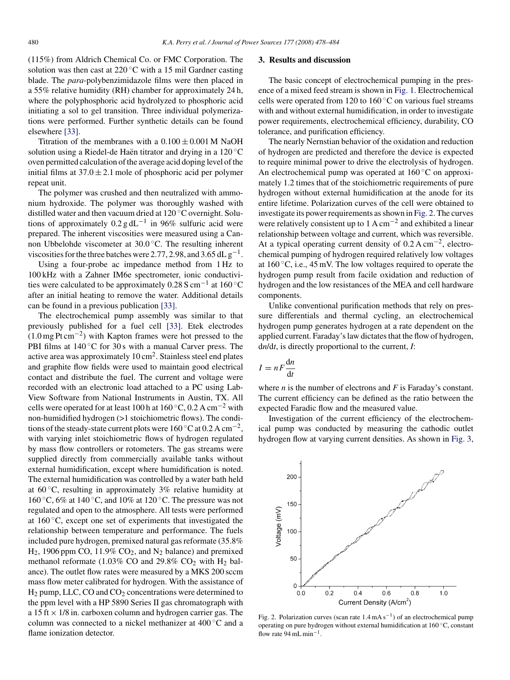<span id="page-2-0"></span>(115%) from Aldrich Chemical Co. or FMC Corporation. The solution was then cast at  $220^{\circ}$ C with a 15 mil Gardner casting blade. The *para*-polybenzimidazole films were then placed in a 55% relative humidity (RH) chamber for approximately 24 h, where the polyphosphoric acid hydrolyzed to phosphoric acid initiating a sol to gel transition. Three individual polymerizations were performed. Further synthetic details can be found elsewhere [\[33\].](#page-6-0)

Titration of the membranes with a  $0.100 \pm 0.001$  M NaOH solution using a Riedel-de Haën titrator and drying in a  $120^{\circ}$ C oven permitted calculation of the average acid doping level of the initial films at  $37.0 \pm 2.1$  mole of phosphoric acid per polymer repeat unit.

The polymer was crushed and then neutralized with ammonium hydroxide. The polymer was thoroughly washed with distilled water and then vacuum dried at 120 ◦C overnight. Solutions of approximately  $0.2$  g dL<sup>-1</sup> in 96% sulfuric acid were prepared. The inherent viscosities were measured using a Cannon Ubbelohde viscometer at 30.0 ◦C. The resulting inherent viscosities for the three batches were 2.77, 2.98, and 3.65 dL  $g^{-1}$ .

Using a four-probe ac impedance method from 1 Hz to 100 kHz with a Zahner IM6e spectrometer, ionic conductivities were calculated to be approximately 0.28 S cm−<sup>1</sup> at 160 ◦C after an initial heating to remove the water. Additional details can be found in a previous publication [\[33\].](#page-6-0)

The electrochemical pump assembly was similar to that previously published for a fuel cell [\[33\].](#page-6-0) Etek electrodes  $(1.0 \text{ mg Pt cm}^{-2})$  with Kapton frames were hot pressed to the PBI films at  $140\degree$ C for 30 s with a manual Carver press. The active area was approximately  $10 \text{ cm}^2$ . Stainless steel end plates and graphite flow fields were used to maintain good electrical contact and distribute the fuel. The current and voltage were recorded with an electronic load attached to a PC using Lab-View Software from National Instruments in Austin, TX. All cells were operated for at least 100 h at 160 °C, 0.2 A cm<sup>-2</sup> with non-humidified hydrogen (>1 stoichiometric flows). The conditions of the steady-state current plots were 160 °C at 0.2 A cm<sup>-2</sup>, with varying inlet stoichiometric flows of hydrogen regulated by mass flow controllers or rotometers. The gas streams were supplied directly from commercially available tanks without external humidification, except where humidification is noted. The external humidification was controlled by a water bath held at  $60^{\circ}$ C, resulting in approximately 3% relative humidity at 160 °C, 6% at 140 °C, and 10% at 120 °C. The pressure was not regulated and open to the atmosphere. All tests were performed at  $160^{\circ}$ C, except one set of experiments that investigated the relationship between temperature and performance. The fuels included pure hydrogen, premixed natural gas reformate (35.8%  $H_2$ , 1906 ppm CO, 11.9% CO<sub>2</sub>, and N<sub>2</sub> balance) and premixed methanol reformate (1.03% CO and 29.8% CO<sub>2</sub> with  $H_2$  balance). The outlet flow rates were measured by a MKS 200 sccm mass flow meter calibrated for hydrogen. With the assistance of  $H_2$  pump, LLC, CO and  $CO_2$  concentrations were determined to the ppm level with a HP 5890 Series II gas chromatograph with a 15 ft  $\times$  1/8 in. carboxen column and hydrogen carrier gas. The column was connected to a nickel methanizer at 400 ◦C and a flame ionization detector.

#### **3. Results and discussion**

The basic concept of electrochemical pumping in the presence of a mixed feed stream is shown in [Fig. 1. E](#page-1-0)lectrochemical cells were operated from 120 to 160 $\degree$ C on various fuel streams with and without external humidification, in order to investigate power requirements, electrochemical efficiency, durability, CO tolerance, and purification efficiency.

The nearly Nernstian behavior of the oxidation and reduction of hydrogen are predicted and therefore the device is expected to require minimal power to drive the electrolysis of hydrogen. An electrochemical pump was operated at  $160^{\circ}$ C on approximately 1.2 times that of the stoichiometric requirements of pure hydrogen without external humidification at the anode for its entire lifetime. Polarization curves of the cell were obtained to investigate its power requirements as shown in Fig. 2. The curves were relatively consistent up to  $1 \text{ A cm}^{-2}$  and exhibited a linear relationship between voltage and current, which was reversible. At a typical operating current density of  $0.2 \text{ A cm}^{-2}$ , electrochemical pumping of hydrogen required relatively low voltages at  $160^{\circ}$ C, i.e., 45 mV. The low voltages required to operate the hydrogen pump result from facile oxidation and reduction of hydrogen and the low resistances of the MEA and cell hardware components.

Unlike conventional purification methods that rely on pressure differentials and thermal cycling, an electrochemical hydrogen pump generates hydrogen at a rate dependent on the applied current. Faraday's law dictates that the flow of hydrogen, d*n*/d*t*, is directly proportional to the current, *I*:

$$
I = nF \frac{\mathrm{d}n}{\mathrm{d}t}
$$

where *n* is the number of electrons and *F* is Faraday's constant. The current efficiency can be defined as the ratio between the expected Faradic flow and the measured value.

Investigation of the current efficiency of the electrochemical pump was conducted by measuring the cathodic outlet hydrogen flow at varying current densities. As shown in [Fig. 3,](#page-3-0)



Fig. 2. Polarization curves (scan rate  $1.4 \text{ mA s}^{-1}$ ) of an electrochemical pump operating on pure hydrogen without external humidification at 160 ◦C, constant flow rate 94 mL min−1.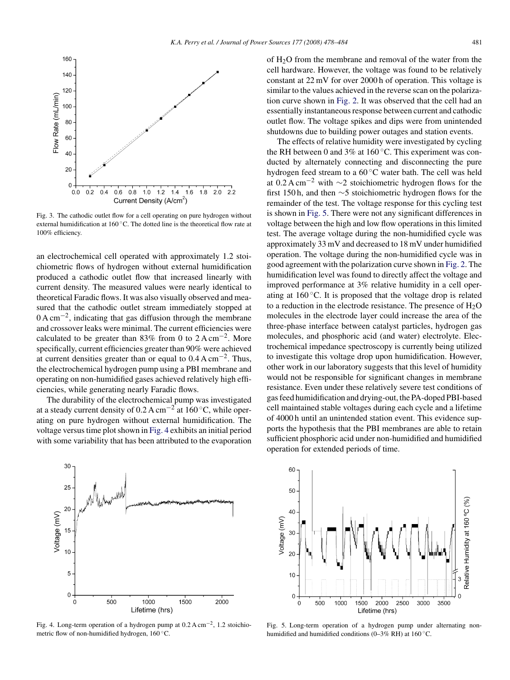<span id="page-3-0"></span>

Fig. 3. The cathodic outlet flow for a cell operating on pure hydrogen without external humidification at 160 ◦C. The dotted line is the theoretical flow rate at 100% efficiency.

an electrochemical cell operated with approximately 1.2 stoichiometric flows of hydrogen without external humidification produced a cathodic outlet flow that increased linearly with current density. The measured values were nearly identical to theoretical Faradic flows. It was also visually observed and measured that the cathodic outlet stream immediately stopped at 0 A cm−2, indicating that gas diffusion through the membrane and crossover leaks were minimal. The current efficiencies were calculated to be greater than 83% from 0 to  $2 \text{ A cm}^{-2}$ . More specifically, current efficiencies greater than 90% were achieved at current densities greater than or equal to  $0.4 \text{ A cm}^{-2}$ . Thus, the electrochemical hydrogen pump using a PBI membrane and operating on non-humidified gases achieved relatively high efficiencies, while generating nearly Faradic flows.

The durability of the electrochemical pump was investigated at a steady current density of 0.2 A cm−<sup>2</sup> at 160 ◦C, while operating on pure hydrogen without external humidification. The voltage versus time plot shown in Fig. 4 exhibits an initial period with some variability that has been attributed to the evaporation



Fig. 4. Long-term operation of a hydrogen pump at 0.2 A cm−2, 1.2 stoichiometric flow of non-humidified hydrogen,  $160^{\circ}$ C.

of  $H<sub>2</sub>O$  from the membrane and removal of the water from the cell hardware. However, the voltage was found to be relatively constant at 22 mV for over 2000 h of operation. This voltage is similar to the values achieved in the reverse scan on the polarization curve shown in [Fig. 2.](#page-2-0) It was observed that the cell had an essentially instantaneous response between current and cathodic outlet flow. The voltage spikes and dips were from unintended shutdowns due to building power outages and station events.

The effects of relative humidity were investigated by cycling the RH between 0 and 3% at 160 $^{\circ}$ C. This experiment was conducted by alternately connecting and disconnecting the pure hydrogen feed stream to a 60 ◦C water bath. The cell was held at 0.2 A cm<sup>-2</sup> with  $\sim$ 2 stoichiometric hydrogen flows for the first 150 h, and then ∼5 stoichiometric hydrogen flows for the remainder of the test. The voltage response for this cycling test is shown in Fig. 5. There were not any significant differences in voltage between the high and low flow operations in this limited test. The average voltage during the non-humidified cycle was approximately 33 mV and decreased to 18 mV under humidified operation. The voltage during the non-humidified cycle was in good agreement with the polarization curve shown in [Fig. 2. T](#page-2-0)he humidification level was found to directly affect the voltage and improved performance at 3% relative humidity in a cell operating at  $160^{\circ}$ C. It is proposed that the voltage drop is related to a reduction in the electrode resistance. The presence of  $H_2O$ molecules in the electrode layer could increase the area of the three-phase interface between catalyst particles, hydrogen gas molecules, and phosphoric acid (and water) electrolyte. Electrochemical impedance spectroscopy is currently being utilized to investigate this voltage drop upon humidification. However, other work in our laboratory suggests that this level of humidity would not be responsible for significant changes in membrane resistance. Even under these relatively severe test conditions of gas feed humidification and drying-out, the PA-doped PBI-based cell maintained stable voltages during each cycle and a lifetime of 4000 h until an unintended station event. This evidence supports the hypothesis that the PBI membranes are able to retain sufficient phosphoric acid under non-humidified and humidified operation for extended periods of time.



Fig. 5. Long-term operation of a hydrogen pump under alternating nonhumidified and humidified conditions (0–3% RH) at  $160^{\circ}$ C.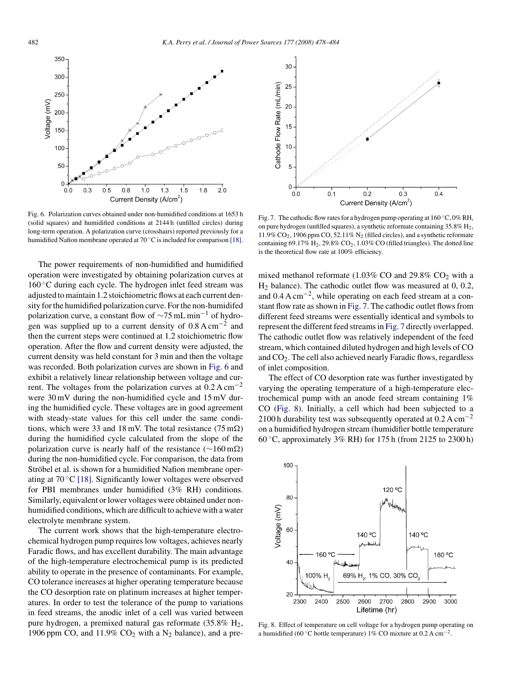<span id="page-4-0"></span>

Fig. 6. Polarization curves obtained under non-humidified conditions at 1653 h (solid squares) and humidified conditions at 2144 h (unfilled circles) during long-term operation. A polarization curve (crosshairs) reported previously for a humidified Nafion membrane operated at 70 ◦C is included for comparison [\[18\].](#page-5-0)

The power requirements of non-humidified and humidified operation were investigated by obtaining polarization curves at  $160 \degree C$  during each cycle. The hydrogen inlet feed stream was adjusted to maintain 1.2 stoichiometric flows at each current density for the humidified polarization curve. For the non-humidifed polarization curve, a constant flow of  $\sim$ 75 mL min<sup>-1</sup> of hydrogen was supplied up to a current density of  $0.8 \text{ A cm}^{-2}$  and then the current steps were continued at 1.2 stoichiometric flow operation. After the flow and current density were adjusted, the current density was held constant for 3 min and then the voltage was recorded. Both polarization curves are shown in Fig. 6 and exhibit a relatively linear relationship between voltage and current. The voltages from the polarization curves at  $0.2 \text{ A cm}^{-2}$ were 30 mV during the non-humidified cycle and 15 mV during the humidified cycle. These voltages are in good agreement with steady-state values for this cell under the same conditions, which were 33 and 18 mV. The total resistance (75 m $\Omega$ ) during the humidified cycle calculated from the slope of the polarization curve is nearly half of the resistance ( $\sim$ 160 m $\Omega$ ) during the non-humidified cycle. For comparison, the data from Ströbel et al. is shown for a humidified Nafion membrane operating at  $70^{\circ}$ C [\[18\]. S](#page-5-0)ignificantly lower voltages were observed for PBI membranes under humidified (3% RH) conditions. Similarly, equivalent or lower voltages were obtained under nonhumidified conditions, which are difficult to achieve with a water electrolyte membrane system.

The current work shows that the high-temperature electrochemical hydrogen pump requires low voltages, achieves nearly Faradic flows, and has excellent durability. The main advantage of the high-temperature electrochemical pump is its predicted ability to operate in the presence of contaminants. For example, CO tolerance increases at higher operating temperature because the CO desorption rate on platinum increases at higher temperatures. In order to test the tolerance of the pump to variations in feed streams, the anodic inlet of a cell was varied between pure hydrogen, a premixed natural gas reformate  $(35.8\% \text{ H}_2,$ 1906 ppm CO, and  $11.9\%$  CO<sub>2</sub> with a N<sub>2</sub> balance), and a pre-



Fig. 7. The cathodic flow rates for a hydrogen pump operating at 160 ◦C, 0% RH, on pure hydrogen (unfilled squares), a synthetic reformate containing 35.8% H2,  $11.9\%$  CO<sub>2</sub>, 1906 ppm CO, 52.11% N<sub>2</sub> (filled circles), and a synthetic reformate containing 69.17%  $H_2$ , 29.8%  $CO_2$ , 1.03%  $CO$  (filled triangles). The dotted line is the theoretical flow rate at 100% efficiency.

mixed methanol reformate (1.03% CO and 29.8%  $CO<sub>2</sub>$  with a  $H_2$  balance). The cathodic outlet flow was measured at 0, 0.2, and  $0.4 \text{ A cm}^{-2}$ , while operating on each feed stream at a constant flow rate as shown in Fig. 7. The cathodic outlet flows from different feed streams were essentially identical and symbols to represent the different feed streams in Fig. 7 directly overlapped. The cathodic outlet flow was relatively independent of the feed stream, which contained diluted hydrogen and high levels of CO and  $CO<sub>2</sub>$ . The cell also achieved nearly Faradic flows, regardless of inlet composition.

The effect of CO desorption rate was further investigated by varying the operating temperature of a high-temperature electrochemical pump with an anode feed stream containing 1% CO (Fig. 8). Initially, a cell which had been subjected to a 2100 h durability test was subsequently operated at  $0.2 \text{ A cm}^{-2}$ on a humidified hydrogen stream (humidifier bottle temperature 60  $\degree$ C, approximately 3% RH) for 175 h (from 2125 to 2300 h)



Fig. 8. Effect of temperature on cell voltage for a hydrogen pump operating on a humidified (60 °C bottle temperature) 1% CO mixture at  $0.2 \text{ A cm}^{-2}$ .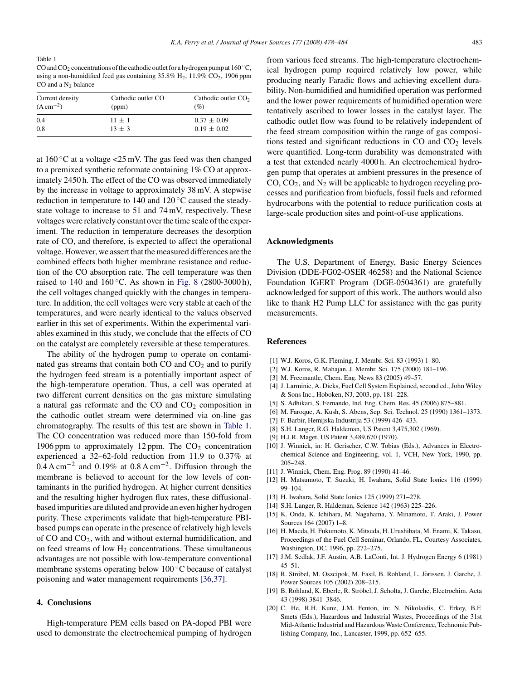<span id="page-5-0"></span>Table 1 CO and CO<sub>2</sub> concentrations of the cathodic outlet for a hydrogen pump at 160 °C, using a non-humidified feed gas containing  $35.8\%$  H<sub>2</sub>,  $11.9\%$  CO<sub>2</sub>, 1906 ppm CO and a  $N_2$  balance

| Current density | Cathodic outlet CO | Cathodic outlet $CO2$ |
|-----------------|--------------------|-----------------------|
| $(A cm^{-2})$   | (ppm)              | (%)                   |
| 0.4             | $11 + 1$           | $0.37 \pm 0.09$       |
| 0.8             | $13 + 3$           | $0.19 \pm 0.02$       |

at  $160\degree$ C at a voltage <25 mV. The gas feed was then changed to a premixed synthetic reformate containing 1% CO at approximately 2450 h. The effect of the CO was observed immediately by the increase in voltage to approximately 38 mV. A stepwise reduction in temperature to 140 and 120 ◦C caused the steadystate voltage to increase to 51 and 74 mV, respectively. These voltages were relatively constant over the time scale of the experiment. The reduction in temperature decreases the desorption rate of CO, and therefore, is expected to affect the operational voltage. However, we assert that the measured differences are the combined effects both higher membrane resistance and reduction of the CO absorption rate. The cell temperature was then raised to 140 and 160 $^{\circ}$ C. As shown in [Fig. 8](#page-4-0) (2800-3000 h), the cell voltages changed quickly with the changes in temperature. In addition, the cell voltages were very stable at each of the temperatures, and were nearly identical to the values observed earlier in this set of experiments. Within the experimental variables examined in this study, we conclude that the effects of CO on the catalyst are completely reversible at these temperatures.

The ability of the hydrogen pump to operate on contaminated gas streams that contain both  $CO$  and  $CO<sub>2</sub>$  and to purify the hydrogen feed stream is a potentially important aspect of the high-temperature operation. Thus, a cell was operated at two different current densities on the gas mixture simulating a natural gas reformate and the  $CO$  and  $CO<sub>2</sub>$  composition in the cathodic outlet stream were determined via on-line gas chromatography. The results of this test are shown in Table 1. The CO concentration was reduced more than 150-fold from 1906 ppm to approximately 12 ppm. The  $CO<sub>2</sub>$  concentration experienced a 32–62-fold reduction from 11.9 to 0.37% at 0.4 A cm−<sup>2</sup> and 0.19% at 0.8 A cm−2. Diffusion through the membrane is believed to account for the low levels of contaminants in the purified hydrogen. At higher current densities and the resulting higher hydrogen flux rates, these diffusionalbased impurities are diluted and provide an even higher hydrogen purity. These experiments validate that high-temperature PBIbased pumps can operate in the presence of relatively high levels of CO and CO2, with and without external humidification, and on feed streams of low  $H_2$  concentrations. These simultaneous advantages are not possible with low-temperature conventional membrane systems operating below 100 ◦C because of catalyst poisoning and water management requirements [\[36,37\].](#page-6-0)

## **4. Conclusions**

High-temperature PEM cells based on PA-doped PBI were used to demonstrate the electrochemical pumping of hydrogen

from various feed streams. The high-temperature electrochemical hydrogen pump required relatively low power, while producing nearly Faradic flows and achieving excellent durability. Non-humidified and humidified operation was performed and the lower power requirements of humidified operation were tentatively ascribed to lower losses in the catalyst layer. The cathodic outlet flow was found to be relatively independent of the feed stream composition within the range of gas compositions tested and significant reductions in  $CO$  and  $CO<sub>2</sub>$  levels were quantified. Long-term durability was demonstrated with a test that extended nearly 4000 h. An electrochemical hydrogen pump that operates at ambient pressures in the presence of  $CO$ ,  $CO<sub>2</sub>$ , and  $N<sub>2</sub>$  will be applicable to hydrogen recycling processes and purification from biofuels, fossil fuels and reformed hydrocarbons with the potential to reduce purification costs at large-scale production sites and point-of-use applications.

## **Acknowledgments**

The U.S. Department of Energy, Basic Energy Sciences Division (DDE-FG02-OSER 46258) and the National Science Foundation IGERT Program (DGE-0504361) are gratefully acknowledged for support of this work. The authors would also like to thank H2 Pump LLC for assistance with the gas purity measurements.

#### **References**

- [1] W.J. Koros, G.K. Fleming, J. Membr. Sci. 83 (1993) 1–80.
- [2] W.J. Koros, R. Mahajan, J. Membr. Sci. 175 (2000) 181–196.
- [3] M. Freemantle, Chem. Eng. News 83 (2005) 49–57.
- [4] J. Larminie, A. Dicks, Fuel Cell System Explained, second ed., John Wiley & Sons Inc., Hoboken, NJ, 2003, pp. 181–228.
- [5] S. Adhikari, S. Fernando, Ind. Eng. Chem. Res. 45 (2006) 875–881.
- [6] M. Faroque, A. Kush, S. Abens, Sep. Sci. Technol. 25 (1990) 1361–1373.
- [7] F. Barbir, Hemijska Industrija 53 (1999) 426–433.
- [8] S.H. Langer, R.G. Haldeman, US Patent 3,475,302 (1969).
- [9] H.J.R. Maget, US Patent 3,489,670 (1970).
- [10] J. Winnick, in: H. Gerischer, C.W. Tobias (Eds.), Advances in Electrochemical Science and Engineering, vol. 1, VCH, New York, 1990, pp. 205–248.
- [11] J. Winnick, Chem. Eng. Prog. 89 (1990) 41–46.
- [12] H. Matsumoto, T. Suzuki, H. Iwahara, Solid State Ionics 116 (1999) 99–104.
- [13] H. Iwahara, Solid State Ionics 125 (1999) 271–278.
- [14] S.H. Langer, R. Haldeman, Science 142 (1963) 225–226.
- [15] K. Onda, K. Ichihara, M. Nagahama, Y. Minamoto, T. Araki, J. Power Sources 164 (2007) 1–8.
- [16] H. Maeda, H. Fukumoto, K. Mitsuda, H. Urushibata, M. Enami, K. Takasu, Proceedings of the Fuel Cell Seminar, Orlando, FL, Courtesy Associates, Washington, DC, 1996, pp. 272–275.
- [17] J.M. Sedlak, J.F. Austin, A.B. LaConti, Int. J. Hydrogen Energy 6 (1981) 45–51.
- [18] R. Ströbel, M. Oszcipok, M. Fasil, B. Rohland, L. Jörissen, J. Garche, J. Power Sources 105 (2002) 208–215.
- [19] B. Rohland, K. Eberle, R. Strobel, J. Scholta, J. Garche, Electrochim. Acta ¨ 43 (1998) 3841–3846.
- [20] C. He, R.H. Kunz, J.M. Fenton, in: N. Nikolaidis, C. Erkey, B.F. Smets (Eds.), Hazardous and Industrial Wastes, Proceedings of the 31st Mid-Atlantic Industrial and Hazardous Waste Conference, Technomic Publishing Company, Inc., Lancaster, 1999, pp. 652–655.